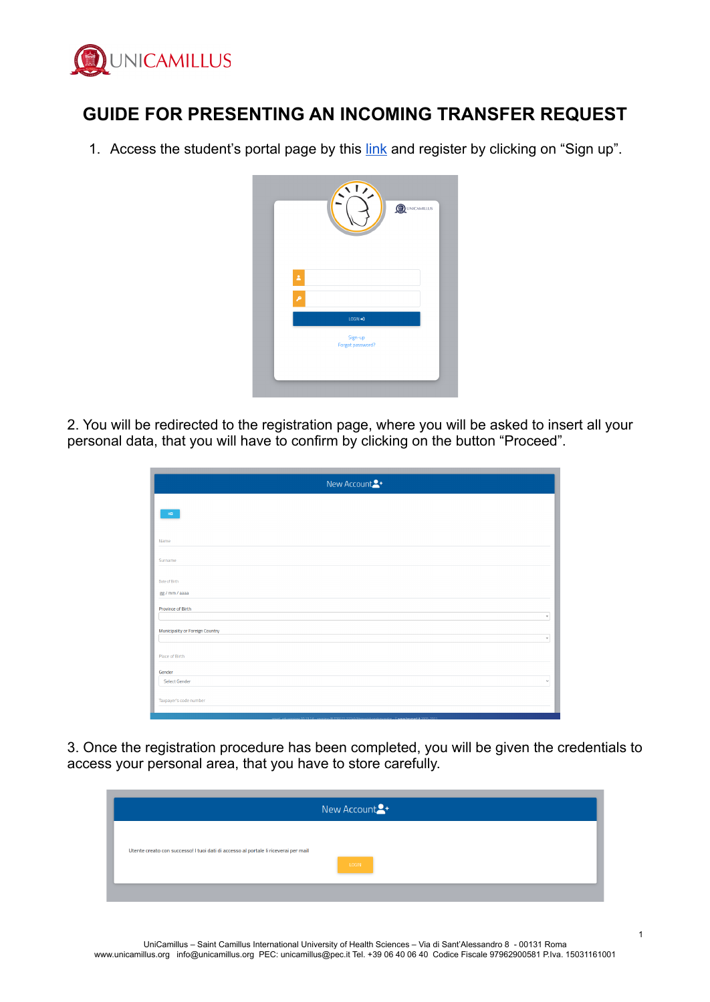

# **GUIDE FOR PRESENTING AN INCOMING TRANSFER REQUEST**

1. Access the student's portal page by this [link](https://unicamillus-studenti.gomp.it/Login/Index) and register by clicking on "Sign up".

|                    |  | $\sqrt{1}$                  |  | <b>QUINICAMILLUS</b> |
|--------------------|--|-----------------------------|--|----------------------|
|                    |  |                             |  |                      |
|                    |  |                             |  |                      |
| $\hat{\mathbf{z}}$ |  |                             |  |                      |
| ۶                  |  |                             |  |                      |
|                    |  | $LOGIN \rightarrow I$       |  |                      |
|                    |  | Sign-up<br>Forgot password? |  |                      |
|                    |  |                             |  |                      |

2. You will be redirected to the registration page, where you will be asked to insert all your personal data, that you will have to confirm by clicking on the button "Proceed".

| New Account <sup>2+</sup>                       |
|-------------------------------------------------|
| $\mathbf{H} \mathbf{D}$ .                       |
|                                                 |
| Name                                            |
| Surname                                         |
| Date of Birth                                   |
| gg / mm / aaaa                                  |
| Province of Birth<br>$\tau$                     |
| Municipality or Foreign Country<br>$\mathbf{v}$ |
|                                                 |
| Place of Birth                                  |
| Gender<br><b>Select Gender</b><br>$\checkmark$  |
| Taxpayer's code number                          |
|                                                 |

3. Once the registration procedure has been completed, you will be given the credentials to access your personal area, that you have to store carefully.

|                                                                                     | New Account <sup>2+</sup> |
|-------------------------------------------------------------------------------------|---------------------------|
| Utente creato con successo! I tuoi dati di accesso al portale li riceverai per mail | LOGIN                     |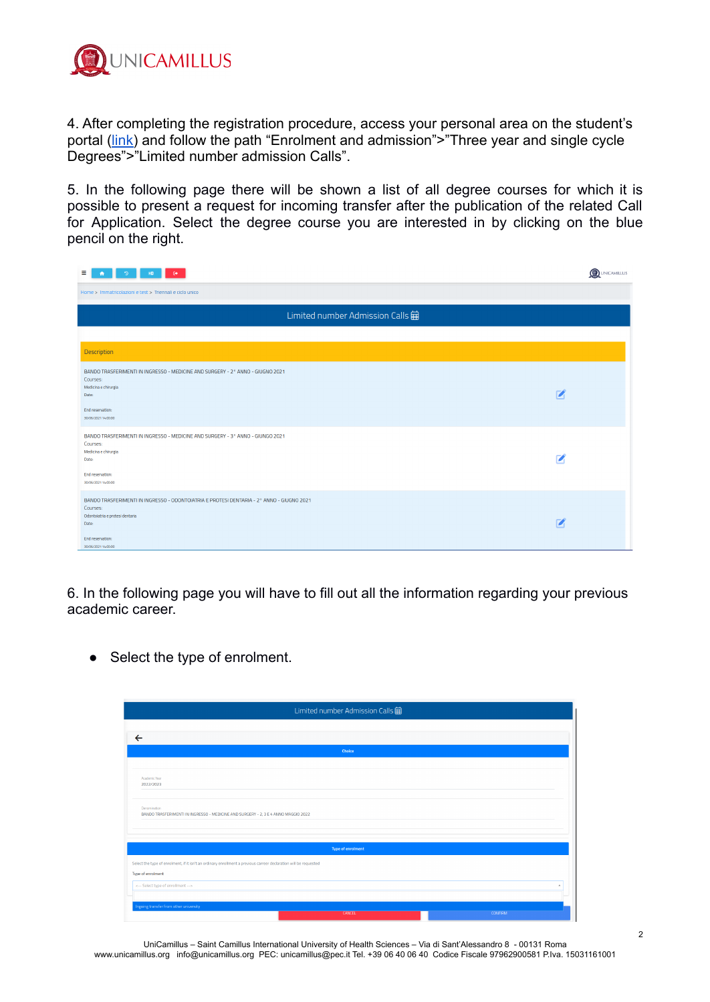

4. After completing the registration procedure, access your personal area on the student's portal ([link\)](https://unicamillus-studenti.gomp.it/Login/Index) and follow the path "Enrolment and admission">"Three year and single cycle Degrees">"Limited number admission Calls".

5. In the following page there will be shown a list of all degree courses for which it is possible to present a request for incoming transfer after the publication of the related Call for Application. Select the degree course you are interested in by clicking on the blue pencil on the right.

| Ξ.<br>$\Theta^+$<br>ര<br>AD.                                                                                                                                                                 | <b>OUNICAMILLUS</b> |
|----------------------------------------------------------------------------------------------------------------------------------------------------------------------------------------------|---------------------|
| Home > Immatricolazioni e test > Triennali e ciclo unico                                                                                                                                     |                     |
| Limited number Admission Calls a                                                                                                                                                             |                     |
| Description                                                                                                                                                                                  |                     |
| BANDO TRASFERIMENTI IN INGRESSO - MEDICINE AND SURGERY - 2° ANNO - GIUGNO 2021<br>Courses:<br>Medicina e chirurgia<br>Date:<br>End reservation:<br>30/06/2021 14:00:00                       |                     |
| BANDO TRASFERIMENTI IN INGRESSO - MEDICINE AND SURGERY - 3° ANNO - GIUNGO 2021<br>Courses:<br>Medicina e chirurgia<br>Date:<br>End reservation:<br>30/06/2021 14:00:00                       |                     |
| BANDO TRASFERIMENTI IN INGRESSO - ODONTOIATRIA E PROTESI DENTARIA - 2° ANNO - GIUGNO 2021<br>Courses:<br>Odontoiatria e protesi dentaria<br>Date:<br>End reservation:<br>30/06/2021 14:00:00 |                     |

6. In the following page you will have to fill out all the information regarding your previous academic career.

• Select the type of enrolment.

|                                                                                                                   | Limited number Admission Calls $\hat{\boxplus}$ |                |
|-------------------------------------------------------------------------------------------------------------------|-------------------------------------------------|----------------|
|                                                                                                                   |                                                 |                |
| $\leftarrow$                                                                                                      |                                                 |                |
|                                                                                                                   | <b>Choice</b>                                   |                |
|                                                                                                                   |                                                 |                |
| Academic Year<br>2022/2023                                                                                        |                                                 |                |
| Denomination<br>BANDO TRASFERIMENTI IN INGRESSO - MEDICINE AND SURGERY - 2, 3 E 4 ANNO MAGGIO 2022                |                                                 |                |
|                                                                                                                   | <b>Type of enrolment</b>                        |                |
| Select the type of enrolment, if it isn't an ordinary enrollment a previous carreer declaration will be requested |                                                 |                |
| Type of enrolment                                                                                                 |                                                 |                |
| <-- Select type of enrollment -->                                                                                 |                                                 | <b>A</b>       |
|                                                                                                                   |                                                 |                |
| Ingoing transfer from other university                                                                            |                                                 |                |
|                                                                                                                   | CANCEL                                          | <b>CONFIRM</b> |

UniCamillus – Saint Camillus International University of Health Sciences – Via di Sant'Alessandro 8 - 00131 Roma www.unicamillus.org info@unicamillus.org PEC: unicamillus@pec.it Tel. +39 06 40 06 40 Codice Fiscale 97962900581 P.Iva. 15031161001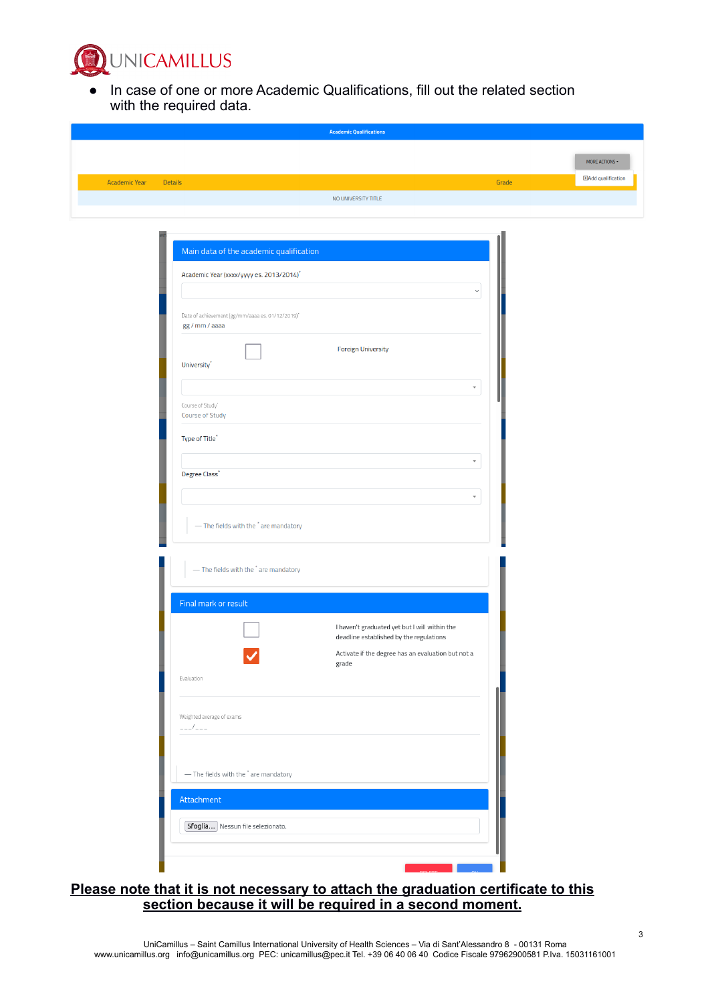

● In case of one or more Academic Qualifications, fill out the related section with the required data.

|                                                  | <b>Academic Qualifications</b>                              |                         |                            |
|--------------------------------------------------|-------------------------------------------------------------|-------------------------|----------------------------|
|                                                  |                                                             |                         | MORE ACTIONS -             |
| <b>Details</b><br><b>Academic Year</b>           |                                                             | Grade                   | <b>E</b> Add qualification |
|                                                  | NO UNIVERSITY TITLE                                         |                         |                            |
|                                                  |                                                             |                         |                            |
|                                                  |                                                             |                         |                            |
| Main data of the academic qualification          |                                                             |                         |                            |
| Academic Year (xxxx/yyyy es. 2013/2014)*         |                                                             |                         |                            |
|                                                  |                                                             | $\check{~}$             |                            |
| Date of achievement (gg/mm/aaaa es. 01/12/2019)* |                                                             |                         |                            |
| gg / mm / aaaa                                   |                                                             |                         |                            |
| University <sup>*</sup>                          | <b>Foreign University</b>                                   |                         |                            |
|                                                  |                                                             |                         |                            |
| Course of Study'                                 |                                                             | $\overline{\mathbf{v}}$ |                            |
| Course of Study                                  |                                                             |                         |                            |
| Type of Title <sup>*</sup>                       |                                                             |                         |                            |
|                                                  |                                                             | $\overline{\mathbf{v}}$ |                            |
| Degree Class'                                    |                                                             |                         |                            |
|                                                  |                                                             | $\overline{\mathbf v}$  |                            |
| - The fields with the * are mandatory            |                                                             |                         |                            |
|                                                  |                                                             |                         |                            |
| - The fields with the * are mandatory            |                                                             |                         |                            |
|                                                  |                                                             |                         |                            |
| Final mark or result                             |                                                             |                         |                            |
|                                                  | I haven't graduated yet but I will within the               |                         |                            |
|                                                  | deadline established by the regulations                     |                         |                            |
|                                                  | Activate if the degree has an evaluation but not a<br>grade |                         |                            |
| Evaluation                                       |                                                             |                         |                            |
|                                                  |                                                             |                         |                            |
| Weighted average of exams<br>$---/---$           |                                                             |                         |                            |
|                                                  |                                                             |                         |                            |
| - The fields with the * are mandatory            |                                                             |                         |                            |
|                                                  |                                                             |                         |                            |
| Attachment                                       |                                                             |                         |                            |
| Sfoglia Nessun file selezionato.                 |                                                             |                         |                            |
|                                                  |                                                             |                         |                            |
|                                                  |                                                             |                         |                            |

#### **Please note that it is not necessary to attach the graduation certificate to this section because it will be required in a second moment.**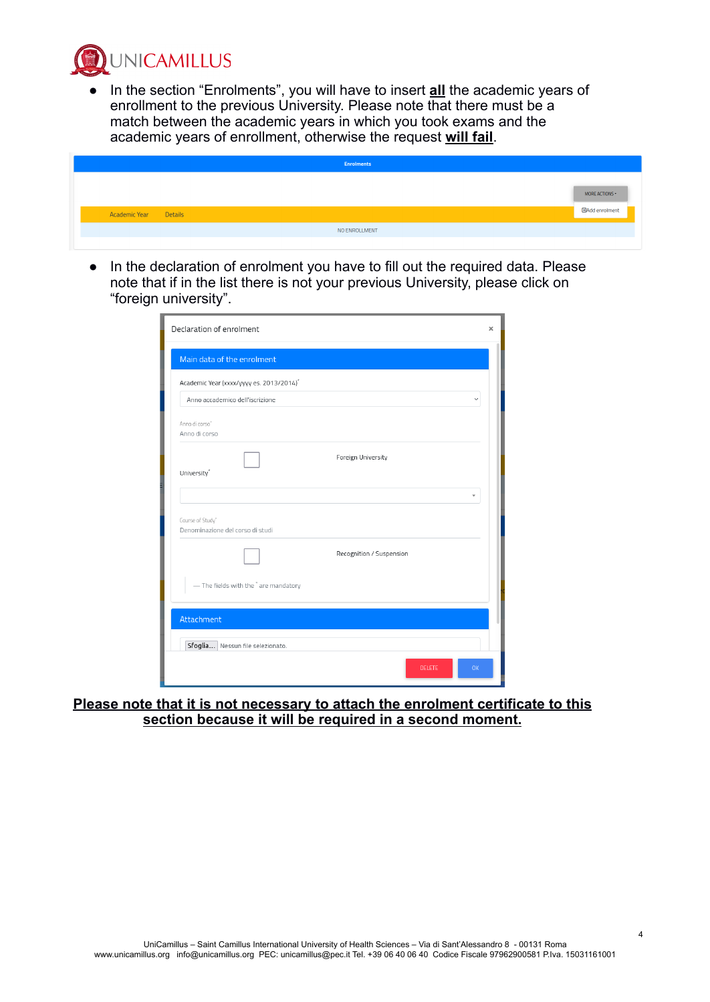**UNICAMILLUS** 

● In the section "Enrolments", you will have to insert **all** the academic years of enrollment to the previous University. Please note that there must be a match between the academic years in which you took exams and the academic years of enrollment, otherwise the request **will fail**.

|                      |                | <b>Enrolments</b> |                                          |
|----------------------|----------------|-------------------|------------------------------------------|
| <b>Academic Year</b> | <b>Details</b> |                   | MORE ACTIONS -<br><b>ElAdd enrolment</b> |
|                      |                | NO ENROLLMENT     |                                          |
|                      |                |                   |                                          |

● In the declaration of enrolment you have to fill out the required data. Please note that if in the list there is not your previous University, please click on "foreign university".

| Declaration of enrolment                             |               |              | $\boldsymbol{\times}$ |
|------------------------------------------------------|---------------|--------------|-----------------------|
| Main data of the enrolment                           |               |              |                       |
| Academic Year (xxxx/yyyy es. 2013/2014) <sup>*</sup> |               |              |                       |
| Anno accademico dell'iscrizione                      |               | $\checkmark$ |                       |
| Anno di corso"<br>Anno di corso                      |               |              |                       |
| Foreign University<br>University <sup>*</sup>        |               |              |                       |
|                                                      |               | v            |                       |
| Course of Study'<br>Denominazione del corso di studi |               |              |                       |
| Recognition / Suspension                             |               |              |                       |
| - The fields with the * are mandatory                |               |              |                       |
| Attachment                                           |               |              |                       |
| Sfoglia Nessun file selezionato.                     |               |              |                       |
|                                                      | <b>DELETE</b> | OK           |                       |

**Please note that it is not necessary to attach the enrolment certificate to this section because it will be required in a second moment.**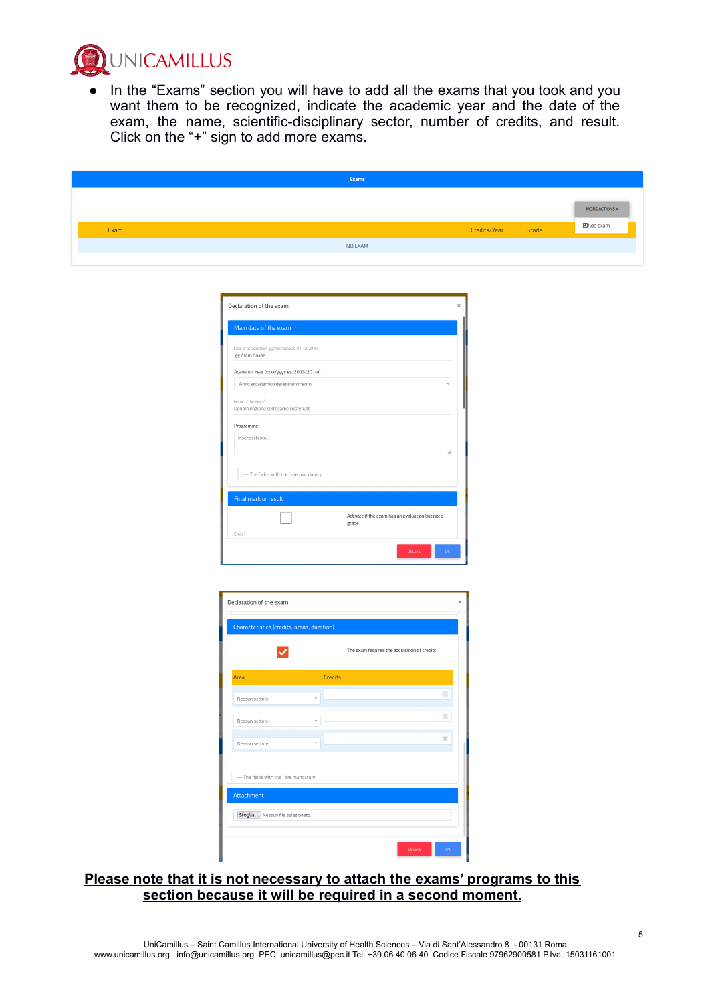

● In the "Exams" section you will have to add all the exams that you took and you want them to be recognized, indicate the academic year and the date of the exam, the name, scientific-disciplinary sector, number of credits, and result. Click on the "+" sign to add more exams.

| MORE ACTIONS -<br><b>HAdd</b> exam<br>Grade<br>Credits/Year<br>Exam<br>NO EXAM | Exams |  |  |
|--------------------------------------------------------------------------------|-------|--|--|
|                                                                                |       |  |  |
|                                                                                |       |  |  |
|                                                                                |       |  |  |

| Declaration of the exam                                            | $\times$                                                  |
|--------------------------------------------------------------------|-----------------------------------------------------------|
| Main data of the exam                                              |                                                           |
| Date of achievement (gg/mm/aaaa es. 01/12/2019)"<br>gg / mm / aaaa |                                                           |
| Academic Year (xxxx/yyyy es. 2013/2014)*                           |                                                           |
| Anno accademico del sostenimento                                   | $\ddot{\phantom{0}}$                                      |
| Name of the exam"<br>Denominazione dell'esame sostenuto            |                                                           |
| Programme                                                          |                                                           |
| Inserisci testo                                                    |                                                           |
| - The fields with the ' are mandatory                              |                                                           |
| Final mark or result                                               |                                                           |
|                                                                    | Activate if the exam has an evaluation but not a<br>grade |
| Grade"                                                             |                                                           |
|                                                                    | <b>DELETE</b><br>OK                                       |

| Declaration of the exam                          |                                              | $\boldsymbol{\times}$ |
|--------------------------------------------------|----------------------------------------------|-----------------------|
| Characteristics (credits, areas, duration)       |                                              |                       |
|                                                  | The exam requires the acquisition of credits |                       |
| Area                                             | <b>Credits</b>                               |                       |
| Nessun settore                                   | $\hat{\cdot}$                                |                       |
| Nessun settore                                   | $\hat{\cdot}$                                |                       |
| Nessun settore                                   | $\hat{\cdot}$                                |                       |
| - The fields with the <sup>*</sup> are mandatory |                                              |                       |
| Attachment                                       |                                              |                       |
| Sfoglia Nessun file selezionato.                 |                                              |                       |
|                                                  | DELETE<br>OK                                 |                       |

#### **Please note that it is not necessary to attach the exams' programs to this section because it will be required in a second moment.**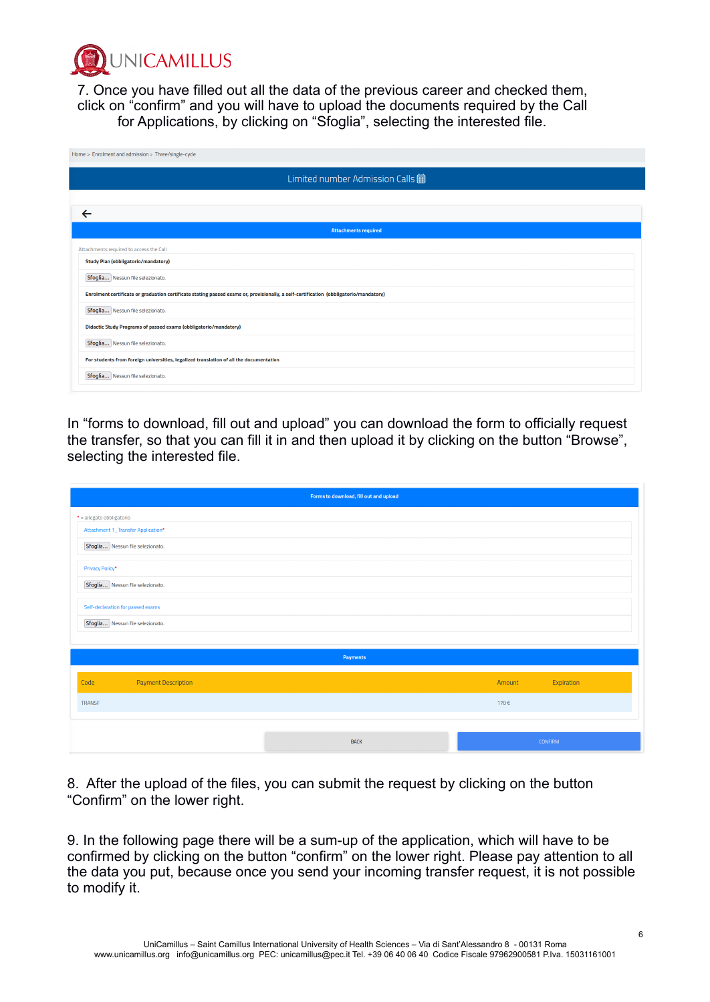

7. Once you have filled out all the data of the previous career and checked them, click on "confirm" and you will have to upload the documents required by the Call for Applications, by clicking on "Sfoglia", selecting the interested file.

| Home > Enrolment and admission > Three/single-cycle                                                                                   |
|---------------------------------------------------------------------------------------------------------------------------------------|
| Limited number Admission Calls <b>宙</b>                                                                                               |
|                                                                                                                                       |
| $\leftarrow$                                                                                                                          |
| <b>Attachments required</b>                                                                                                           |
| Attachments required to access the Call                                                                                               |
| Study Plan (obbligatorio/mandatory)                                                                                                   |
| Sfoglia Nessun file selezionato.                                                                                                      |
| Enrolment certificate or graduation certificate stating passed exams or, provisionally, a self-certification (obbligatorio/mandatory) |
| Sfoglia Nessun file selezionato.                                                                                                      |
| <b>Didactic Study Programs of passed exams (obbligatorio/mandatory)</b>                                                               |
| Sfoglia Nessun file selezionato.                                                                                                      |
| For students from foreign universities, legalized translation of all the documentation                                                |
| Sfoglia Nessun file selezionato.                                                                                                      |

In "forms to download, fill out and upload" you can download the form to officially request the transfer, so that you can fill it in and then upload it by clicking on the button "Browse", selecting the interested file.

| Forms to download, fill out and upload |             |                      |
|----------------------------------------|-------------|----------------------|
| $\bullet$ = allegato obbligatorio      |             |                      |
| Attachment 1_Transfer Application*     |             |                      |
| Sfoglia Nessun file selezionato.       |             |                      |
| Privacy Policy*                        |             |                      |
| Sfoglia Nessun file selezionato.       |             |                      |
| Self-declaration for passed exams      |             |                      |
| Sfoglia Nessun file selezionato.       |             |                      |
|                                        |             |                      |
|                                        | Payments    |                      |
| <b>Payment Description</b><br>Code     |             | Expiration<br>Amount |
| <b>TRANSF</b>                          |             | 170€                 |
|                                        |             |                      |
|                                        | <b>BACK</b> | CONFIRM              |

8. After the upload of the files, you can submit the request by clicking on the button "Confirm" on the lower right.

9. In the following page there will be a sum-up of the application, which will have to be confirmed by clicking on the button "confirm" on the lower right. Please pay attention to all the data you put, because once you send your incoming transfer request, it is not possible to modify it.